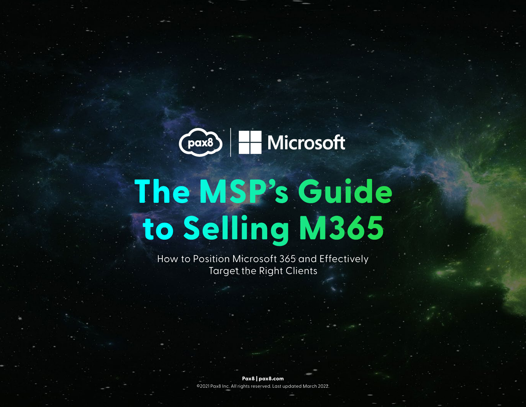

# **The MSP's Guide to Selling M365**

How to Position Microsoft 365 and Effectively Target the Right Clients

> **Pax8 | pax8.com** ©2021 Pax8 Inc. All rights reserved. Last updated March 2022.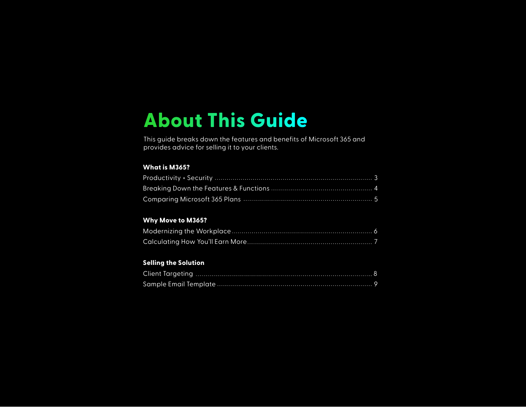## **About This Guide**

This guide breaks down the features and benefits of Microsoft 365 and provides advice for selling it to your clients.

#### **What is M365?**

#### **Why Move to M365?**

#### **Selling the Solution**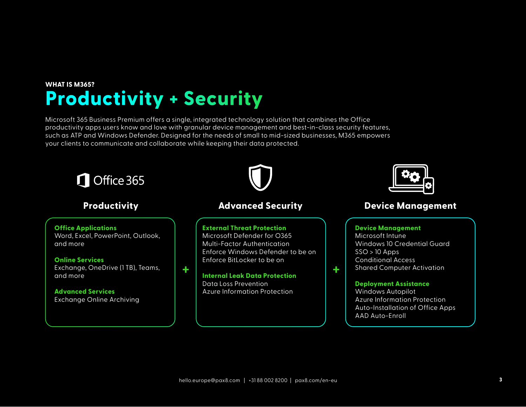### **WHAT IS M365? Productivity + Security**

Microsoft 365 Business Premium offers a single, integrated technology solution that combines the Office productivity apps users know and love with granular device management and best-in-class security features, such as ATP and Windows Defender. Designed for the needs of small to mid-sized businesses, M365 empowers your clients to communicate and collaborate while keeping their data protected.

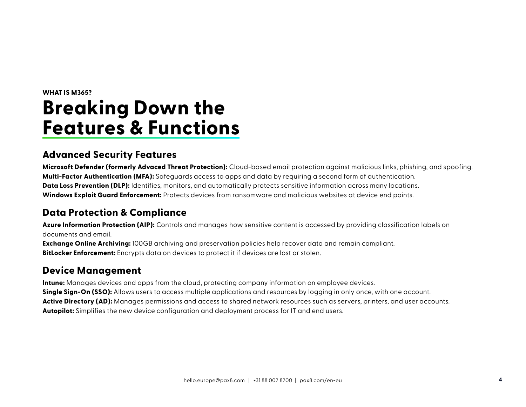## **WHAT IS M365? Breaking Down the Features & Functions**

#### **Advanced Security Features**

**Microsoft Defender (formerly Advaced Threat Protection):** Cloud-based email protection against malicious links, phishing, and spoofing. **Multi-Factor Authentication (MFA):** Safeguards access to apps and data by requiring a second form of authentication. **Data Loss Prevention (DLP):** Identifies, monitors, and automatically protects sensitive information across many locations. **Windows Exploit Guard Enforcement:** Protects devices from ransomware and malicious websites at device end points.

#### **Data Protection & Compliance**

**Azure Information Protection (AIP):** Controls and manages how sensitive content is accessed by providing classification labels on documents and email.

**Exchange Online Archiving:** 100GB archiving and preservation policies help recover data and remain compliant. **BitLocker Enforcement:** Encrypts data on devices to protect it if devices are lost or stolen.

#### **Device Management**

**Intune:** Manages devices and apps from the cloud, protecting company information on employee devices. **Single Sign-On (SSO):** Allows users to access multiple applications and resources by logging in only once, with one account. **Active Directory (AD):** Manages permissions and access to shared network resources such as servers, printers, and user accounts. **Autopilot:** Simplifies the new device configuration and deployment process for IT and end users.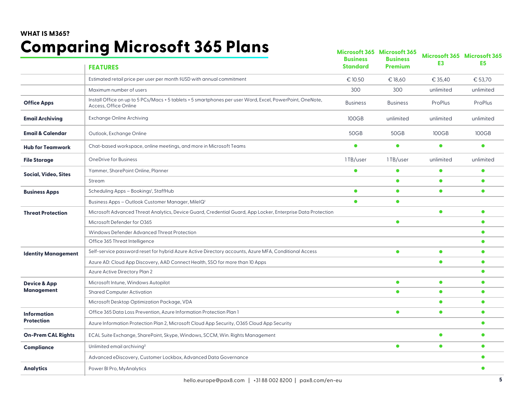### **WHAT IS M365? Comparing Microsoft 365 Plans**

| somparmg                    | <u>INISI USUI LUUU I IMIIJ</u><br><b>FEATURES</b>                                                                                  | <b>Business</b><br><b>Standard</b> | Microsoft 365 Microsoft 365<br><b>Business</b><br><b>Premium</b> | E <sub>3</sub> | Microsoft 365 Microsoft 365<br>E <sub>5</sub> |
|-----------------------------|------------------------------------------------------------------------------------------------------------------------------------|------------------------------------|------------------------------------------------------------------|----------------|-----------------------------------------------|
|                             | Estimated retail price per user per month \$USD with annual commitment                                                             | € 10.50                            | € 18,60                                                          | € 35,40        | € 53,70                                       |
|                             | Maximum number of users                                                                                                            | 300                                | 300                                                              | unlimited      | unlimited                                     |
| <b>Office Apps</b>          | Install Office on up to 5 PCs/Macs + 5 tablets + 5 smartphones per user Word, Excel, PowerPoint, OneNote,<br>Access, Office Online | <b>Business</b>                    | <b>Business</b>                                                  | ProPlus        | ProPlus                                       |
| <b>Email Archiving</b>      | <b>Exchange Online Archiving</b>                                                                                                   | <b>100GB</b>                       | unlimited                                                        | unlimited      | unlimited                                     |
| <b>Email &amp; Calendar</b> | Outlook, Exchange Online                                                                                                           | 50GB                               | 50GB                                                             | 100GB          | 100GB                                         |
| <b>Hub for Teamwork</b>     | Chat-based workspace, online meetings, and more in Microsoft Teams                                                                 | $\bullet$                          | $\bullet$                                                        | $\bullet$      | $\bullet$                                     |
| <b>File Storage</b>         | <b>OneDrive for Business</b>                                                                                                       | 1TB/user                           | 1TB/user                                                         | unlimited      | unlimited                                     |
| Social, Video, Sites        | Yammer, SharePoint Online, Planner                                                                                                 | $\bullet$                          | $\bullet$                                                        | $\bullet$      | $\bullet$                                     |
|                             | Stream                                                                                                                             |                                    | $\bullet$                                                        | $\bullet$      | $\bullet$                                     |
| <b>Business Apps</b>        | Scheduling Apps - Bookings <sup>1</sup> , StaffHub                                                                                 | $\bullet$                          | $\bullet$                                                        | $\bullet$      | $\bullet$                                     |
|                             | Business Apps - Outlook Customer Manager, MileIQ'                                                                                  | $\bullet$                          | $\bullet$                                                        |                |                                               |
| <b>Threat Protection</b>    | Microsoft Advanced Threat Analytics, Device Guard, Credential Guard, App Locker, Enterprise Data Protection                        |                                    |                                                                  | $\bullet$      | $\bullet$                                     |
|                             | Microsoft Defender for O365                                                                                                        |                                    | $\bullet$                                                        |                | $\bullet$                                     |
|                             | Windows Defender Advanced Threat Protection                                                                                        |                                    |                                                                  |                | $\bullet$                                     |
|                             | Office 365 Threat Intelligence                                                                                                     |                                    |                                                                  |                | $\bullet$                                     |
| <b>Identity Management</b>  | Self-service password reset for hybrid Azure Active Directory accounts, Azure MFA, Conditional Access                              |                                    | $\bullet$                                                        | $\bullet$      | $\bullet$                                     |
|                             | Azure AD: Cloud App Discovery, AAD Connect Health, SSO for more than 10 Apps                                                       |                                    |                                                                  | $\bullet$      | $\bullet$                                     |
|                             | <b>Azure Active Directory Plan 2</b>                                                                                               |                                    |                                                                  |                | $\bullet$                                     |
| <b>Device &amp; App</b>     | Microsoft Intune, Windows Autopilot                                                                                                |                                    | $\bullet$                                                        | $\bullet$      | $\bullet$                                     |
| Management                  | <b>Shared Computer Activation</b>                                                                                                  |                                    | $\bullet$                                                        | $\bullet$      | $\bullet$                                     |
|                             | Microsoft Desktop Optimization Package, VDA                                                                                        |                                    |                                                                  | $\bullet$      | $\bullet$                                     |
| <b>Information</b>          | Office 365 Data Loss Prevention, Azure Information Protection Plan 1                                                               |                                    | $\bullet$                                                        | $\bullet$      | $\bullet$                                     |
| <b>Protection</b>           | Azure Information Protection Plan 2, Microsoft Cloud App Security, O365 Cloud App Security                                         |                                    |                                                                  |                | $\bullet$                                     |
| <b>On-Prem CAL Rights</b>   | ECAL Suite Exchange, SharePoint, Skype, Windows, SCCM, Win. Rights Management                                                      |                                    |                                                                  | $\bullet$      | $\bullet$                                     |
| Compliance                  | Unlimited email archiving <sup>2</sup>                                                                                             |                                    | $\bullet$                                                        | $\bullet$      | $\bullet$                                     |
|                             | Advanced eDiscovery, Customer Lockbox, Advanced Data Governance                                                                    |                                    |                                                                  |                | $\bullet$                                     |
| <b>Analytics</b>            | Power BI Pro, MyAnalytics                                                                                                          |                                    |                                                                  |                | $\bullet$                                     |
|                             |                                                                                                                                    |                                    |                                                                  |                |                                               |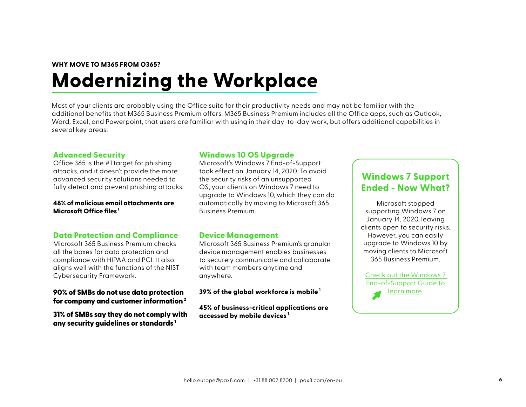#### **WHY MOVE TO M365 FROM O365?**

## **Modernizing the Workplace**

Most of your clients are probably using the Office suite for their productivity needs and may not be familiar with the additional benefits that M365 Business Premium offers. M365 Business Premium includes all the Office apps, such as Outlook, Word, Excel, and Powerpoint, that users are familiar with using in their day-to-day work, but offers additional capabilities in several key areas:

#### **Advanced Security**

Office 365 is the #1 target for phishing attacks, and it doesn't provide the more advanced security solutions needed to fully detect and prevent phishing attacks.

#### **48% of malicious email attachments are Microsoft Office files <sup>1</sup>**

#### **Data Protection and Compliance**

Microsoft 365 Business Premium checks all the boxes for data protection and compliance with HIPAA and PCI. It also aligns well with the functions of the NIST Cybersecurity Framework.

#### 90% of SMBs do not use data protection for company and customer information $2$

31% of SMBs say they do not comply with any security quidelines or standards  $^1$ 

#### **Windows 10 OS Upgrade**

Microsoft's Windows 7 End-of-Support took effect on January 14, 2020. To avoid the security risks of an unsupported OS, your clients on Windows 7 need to upgrade to Windows 10, which they can do automatically by moving to Microsoft 365 Business Premium.

#### **Device Management**

Microsoft 365 Business Premium's granular device management enables businesses to securely communicate and collaborate with team members anytime and anywhere.

**39% of the global workforce is mobile <sup>1</sup>**

**45% of business-critical applications are accessed by mobile devices <sup>1</sup>**

#### **[Windows 7 Support](https://usc.pax8.com/resource/display/43383)  Ended - Now What?**

Microsoft stopped supporting Windows 7 on January 14, 2020, leaving clients open to security risks. However, you can easily upgrade to Windows 10 by moving clients to Microsoft 365 Business Premium.

Check out the Windows 7 End-of-Support Guide to learn more.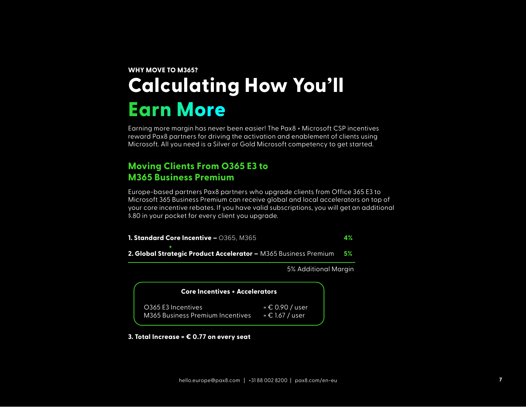## **WHY MOVE TO M365? Calculating How You'll Earn More**

Earning more margin has never been easier! The Pax8 + Microsoft CSP incentives reward Pax8 partners for driving the activation and enablement of clients using Microsoft. All you need is a Silver or Gold Microsoft competency to get started.

#### **Moving Clients From O365 E3 to M365 Business Premium**

Europe-based partners Pax8 partners who upgrade clients from Office 365 E3 to Microsoft 365 Business Premium can receive global and local accelerators on top of your core incentive rebates. If you have valid subscriptions, you will get an additional \$.80 in your pocket for every client you upgrade.

**1. Standard Core Incentive – 0365, M365 2. Global Strategic Product Accelerator –** M365 Business Premium **4% 5% +**

5% Additional Margin

| <b>Core Incentives + Accelerators</b>                   |                                   |  |
|---------------------------------------------------------|-----------------------------------|--|
| O365 E3 Incentives.<br>M365 Business Premium Incentives | = € 0.90 / user<br>$= 61.67$ user |  |

#### **3. Total Increase = € 0.77 on every seat**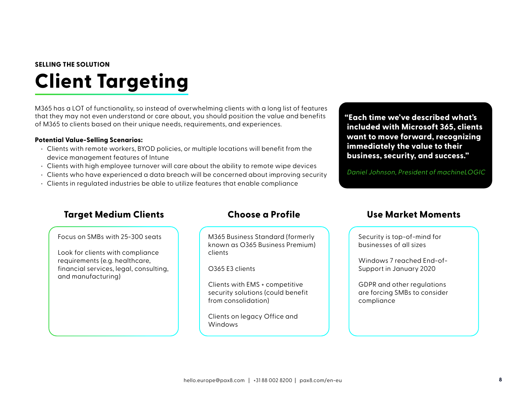## **SELLING THE SOLUTION Client Targeting**

M365 has a LOT of functionality, so instead of overwhelming clients with a long list of features that they may not even understand or care about, you should position the value and benefits of M365 to clients based on their unique needs, requirements, and experiences.

#### **Potential Value-Selling Scenarios:**

- Clients with remote workers, BYOD policies, or multiple locations will benefit from the device management features of Intune
- Clients with high employee turnover will care about the ability to remote wipe devices
- Clients who have experienced a data breach will be concerned about improving security
- Clients in regulated industries be able to utilize features that enable compliance

**"Each time we've described what's included with Microsoft 365, clients want to move forward, recognizing immediately the value to their business, security, and success."**

Daniel Johnson, President of machineLOGIC

#### **Target Medium Clients Choose a Profile Use Market Moments**

Focus on SMBs with 25-300 seats

Look for clients with compliance requirements (e.g. healthcare, financial services, legal, consulting, and manufacturing)

M365 Business Standard (formerly known as O365 Business Premium) clients

O365 E3 clients

Clients with EMS + competitive security solutions (could benefit from consolidation)

Clients on legacy Office and Windows

Security is top-of-mind for businesses of all sizes

Windows 7 reached End-of-Support in January 2020

GDPR and other regulations are forcing SMBs to consider compliance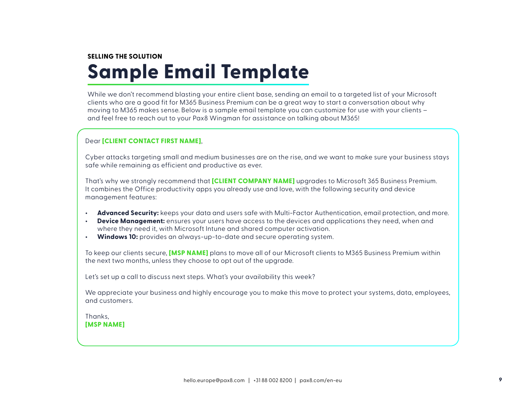## **SELLING THE SOLUTION Sample Email Template**

While we don't recommend blasting your entire client base, sending an email to a targeted list of your Microsoft clients who are a good fit for M365 Business Premium can be a great way to start a conversation about why moving to M365 makes sense. Below is a sample email template you can customize for use with your clients – and feel free to reach out to your Pax8 Wingman for assistance on talking about M365!

#### Dear **[CLIENT CONTACT FIRST NAME]**,

Cyber attacks targeting small and medium businesses are on the rise, and we want to make sure your business stays safe while remaining as efficient and productive as ever.

That's why we strongly recommend that **[CLIENT COMPANY NAME]** upgrades to Microsoft 365 Business Premium. It combines the Office productivity apps you already use and love, with the following security and device management features:

- **• Advanced Security:** keeps your data and users safe with Multi-Factor Authentication, email protection, and more.
- **• Device Management:** ensures your users have access to the devices and applications they need, when and where they need it, with Microsoft Intune and shared computer activation.
- **• Windows 10:** provides an always-up-to-date and secure operating system.

To keep our clients secure, **[MSP NAME]** plans to move all of our Microsoft clients to M365 Business Premium within the next two months, unless they choose to opt out of the upgrade.

Let's set up a call to discuss next steps. What's your availability this week?

We appreciate your business and highly encourage you to make this move to protect your systems, data, employees, and customers.

Thanks, **[MSP NAME]**